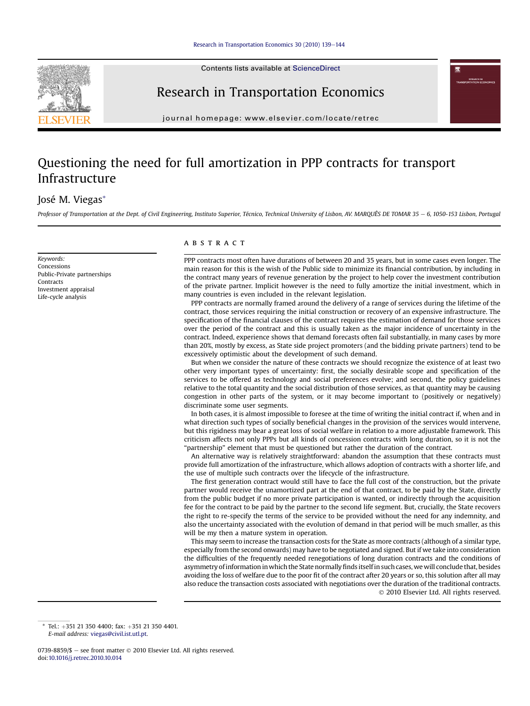

Contents lists available at ScienceDirect

## Research in Transportation Economics

journal homepage: [www.elsevier.com/locate/retrec](http://www.elsevier.com/locate/retrec)

## Questioning the need for full amortization in PPP contracts for transport Infrastructure

### José M. Viegas\*

Professor of Transportation at the Dept. of Civil Engineering, Instituto Superior, Técnico, Technical University of Lisbon, AV. MARQUÊS DE TOMAR 35 - 6, 1050-153 Lisbon, Portugal

Keywords: Concessions Public-Private partnerships **Contracts** Investment appraisal Life-cycle analysis

#### **ABSTRACT**

PPP contracts most often have durations of between 20 and 35 years, but in some cases even longer. The main reason for this is the wish of the Public side to minimize its financial contribution, by including in the contract many years of revenue generation by the project to help cover the investment contribution of the private partner. Implicit however is the need to fully amortize the initial investment, which in many countries is even included in the relevant legislation.

PPP contracts are normally framed around the delivery of a range of services during the lifetime of the contract, those services requiring the initial construction or recovery of an expensive infrastructure. The specification of the financial clauses of the contract requires the estimation of demand for those services over the period of the contract and this is usually taken as the major incidence of uncertainty in the contract. Indeed, experience shows that demand forecasts often fail substantially, in many cases by more than 20%, mostly by excess, as State side project promoters (and the bidding private partners) tend to be excessively optimistic about the development of such demand.

But when we consider the nature of these contracts we should recognize the existence of at least two other very important types of uncertainty: first, the socially desirable scope and specification of the services to be offered as technology and social preferences evolve; and second, the policy guidelines relative to the total quantity and the social distribution of those services, as that quantity may be causing congestion in other parts of the system, or it may become important to (positively or negatively) discriminate some user segments.

In both cases, it is almost impossible to foresee at the time of writing the initial contract if, when and in what direction such types of socially beneficial changes in the provision of the services would intervene, but this rigidness may bear a great loss of social welfare in relation to a more adjustable framework. This criticism affects not only PPPs but all kinds of concession contracts with long duration, so it is not the "partnership" element that must be questioned but rather the duration of the contract.

An alternative way is relatively straightforward: abandon the assumption that these contracts must provide full amortization of the infrastructure, which allows adoption of contracts with a shorter life, and the use of multiple such contracts over the lifecycle of the infrastructure.

The first generation contract would still have to face the full cost of the construction, but the private partner would receive the unamortized part at the end of that contract, to be paid by the State, directly from the public budget if no more private participation is wanted, or indirectly through the acquisition fee for the contract to be paid by the partner to the second life segment. But, crucially, the State recovers the right to re-specify the terms of the service to be provided without the need for any indemnity, and also the uncertainty associated with the evolution of demand in that period will be much smaller, as this will be my then a mature system in operation.

This may seem to increase the transaction costs for the State as more contracts (although of a similar type, especially from the second onwards) may have to be negotiated and signed. But if we take into consideration the difficulties of the frequently needed renegotiations of long duration contracts and the conditions of asymmetry of information inwhich the State normallyfinds itself in such cases, we will conclude that, besides avoiding the loss of welfare due to the poor fit of the contract after 20 years or so, this solution after all may also reduce the transaction costs associated with negotiations over the duration of the traditional contracts. 2010 Elsevier Ltd. All rights reserved.

Tel.: +351 21 350 4400; fax: +351 21 350 4401. E-mail address: [viegas@civil.ist.utl.pt.](mailto:viegas@civil.ist.utl.pt)

<sup>0739-8859/\$ -</sup> see front matter  $\odot$  2010 Elsevier Ltd. All rights reserved. doi[:10.1016/j.retrec.2010.10.014](http://dx.doi.org/10.1016/j.retrec.2010.10.014)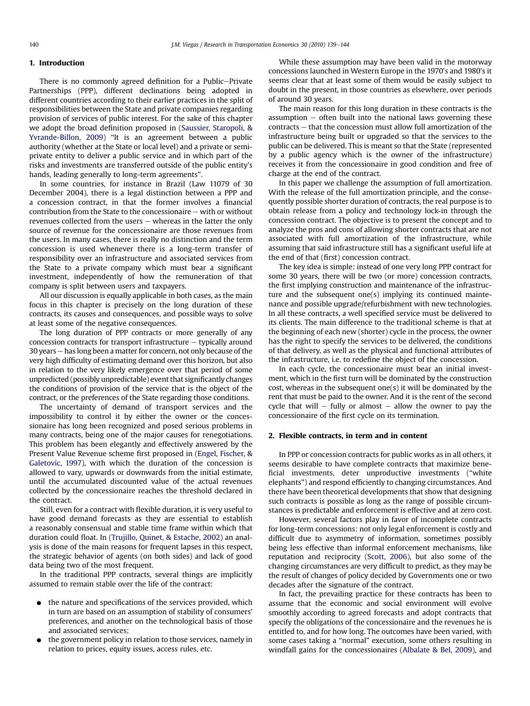#### 1. Introduction

There is no commonly agreed definition for a Public-Private Partnerships (PPP), different declinations being adopted in different countries according to their earlier practices in the split of responsibilities between the State and private companies regarding provision of services of public interest. For the sake of this chapter we adopt the broad definition proposed in [\(Saussier, Staropoli, &](#page--1-0) [Yvrande-Billon, 2009\)](#page--1-0) "It is an agreement between a public authority (whether at the State or local level) and a private or semiprivate entity to deliver a public service and in which part of the risks and investments are transferred outside of the public entity's hands, leading generally to long-term agreements".

In some countries, for instance in Brazil (Law 11079 of 30 December 2004), there is a legal distinction between a PPP and a concession contract, in that the former involves a financial contribution from the State to the concessionaire  $-$  with or without revenues collected from the users  $-$  whereas in the latter the only source of revenue for the concessionaire are those revenues from the users. In many cases, there is really no distinction and the term concession is used whenever there is a long-term transfer of responsibility over an infrastructure and associated services from the State to a private company which must bear a significant investment, independently of how the remuneration of that company is split between users and taxpayers.

All our discussion is equally applicable in both cases, as the main focus in this chapter is precisely on the long duration of these contracts, its causes and consequences, and possible ways to solve at least some of the negative consequences.

The long duration of PPP contracts or more generally of any concession contracts for transport infrastructure  $-$  typically around 30 years e has long been a matter for concern, not only because of the very high difficulty of estimating demand over this horizon, but also in relation to the very likely emergence over that period of some unpredicted (possibly unpredictable) event that significantly changes the conditions of provision of the service that is the object of the contract, or the preferences of the State regarding those conditions.

The uncertainty of demand of transport services and the impossibility to control it by either the owner or the concessionaire has long been recognized and posed serious problems in many contracts, being one of the major causes for renegotiations. This problem has been elegantly and effectively answered by the Present Value Revenue scheme first proposed in [\(Engel, Fischer, &](#page--1-0) [Galetovic, 1997\)](#page--1-0), with which the duration of the concession is allowed to vary, upwards or downwards from the initial estimate, until the accumulated discounted value of the actual revenues collected by the concessionaire reaches the threshold declared in the contract.

Still, even for a contract with flexible duration, it is very useful to have good demand forecasts as they are essential to establish a reasonably consensual and stable time frame within which that duration could float. In [\(Trujillo, Quinet, & Estache, 2002](#page--1-0)) an analysis is done of the main reasons for frequent lapses in this respect, the strategic behavior of agents (on both sides) and lack of good data being two of the most frequent.

In the traditional PPP contracts, several things are implicitly assumed to remain stable over the life of the contract:

- $\bullet$  the nature and specifications of the services provided, which in turn are based on an assumption of stability of consumers' preferences, and another on the technological basis of those and associated services;
- the government policy in relation to those services, namely in relation to prices, equity issues, access rules, etc.

While these assumption may have been valid in the motorway concessions launched in Western Europe in the 1970's and 1980's it seems clear that at least some of them would be easily subject to doubt in the present, in those countries as elsewhere, over periods of around 30 years.

The main reason for this long duration in these contracts is the assumption  $-$  often built into the national laws governing these  $contracts - that the concession must allow full annotation of the$ infrastructure being built or upgraded so that the services to the public can be delivered. This is meant so that the State (represented by a public agency which is the owner of the infrastructure) receives it from the concessionaire in good condition and free of charge at the end of the contract.

In this paper we challenge the assumption of full amortization. With the release of the full amortization principle, and the consequently possible shorter duration of contracts, the real purpose is to obtain release from a policy and technology lock-in through the concession contract. The objective is to present the concept and to analyze the pros and cons of allowing shorter contracts that are not associated with full amortization of the infrastructure, while assuming that said infrastructure still has a significant useful life at the end of that (first) concession contract.

The key idea is simple: instead of one very long PPP contract for some 30 years, there will be two (or more) concession contracts, the first implying construction and maintenance of the infrastructure and the subsequent one(s) implying its continued maintenance and possible upgrade/refurbishment with new technologies. In all these contracts, a well specified service must be delivered to its clients. The main difference to the traditional scheme is that at the beginning of each new (shorter) cycle in the process, the owner has the right to specify the services to be delivered, the conditions of that delivery, as well as the physical and functional attributes of the infrastructure, i.e. to redefine the object of the concession.

In each cycle, the concessionaire must bear an initial investment, which in the first turn will be dominated by the construction cost, whereas in the subsequent one(s) it will be dominated by the rent that must be paid to the owner. And it is the rent of the second cycle that will  $-$  fully or almost  $-$  allow the owner to pay the concessionaire of the first cycle on its termination.

#### 2. Flexible contracts, in term and in content

In PPP or concession contracts for public works as in all others, it seems desirable to have complete contracts that maximize beneficial investments, deter unproductive investments ("white elephants") and respond efficiently to changing circumstances. And there have been theoretical developments that show that designing such contracts is possible as long as the range of possible circumstances is predictable and enforcement is effective and at zero cost.

However, several factors play in favor of incomplete contracts for long-term concessions: not only legal enforcement is costly and difficult due to asymmetry of information, sometimes possibly being less effective than informal enforcement mechanisms, like reputation and reciprocity ([Scott, 2006\)](#page--1-0), but also some of the changing circumstances are very difficult to predict, as they may be the result of changes of policy decided by Governments one or two decades after the signature of the contract.

In fact, the prevailing practice for these contracts has been to assume that the economic and social environment will evolve smoothly according to agreed forecasts and adopt contracts that specify the obligations of the concessionaire and the revenues he is entitled to, and for how long. The outcomes have been varied, with some cases taking a "normal" execution, some others resulting in windfall gains for the concessionaires ([Albalate & Bel, 2009\)](#page--1-0), and